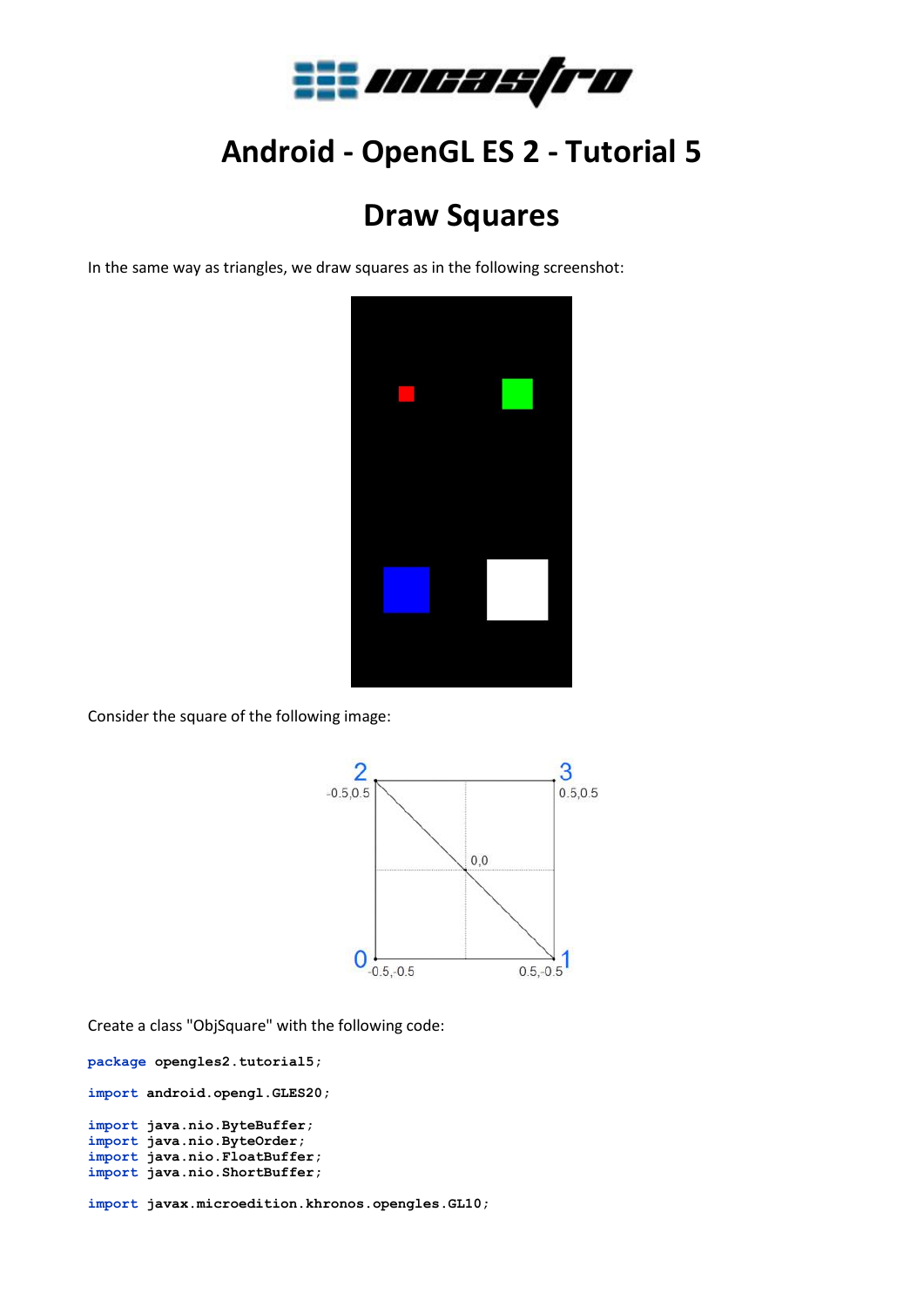

## **Android - OpenGL ES 2 - Tutorial 5**

## **Draw Squares**

In the same way as triangles, we draw squares as in the following screenshot:



Consider the square of the following image:



Create a class "ObjSquare" with the following code:

```
package opengles2.tutorial5;
import android.opengl.GLES20;
import java.nio.ByteBuffer;
import java.nio.ByteOrder;
import java.nio.FloatBuffer;
import java.nio.ShortBuffer;
```
**import javax.microedition.khronos.opengles.GL10;**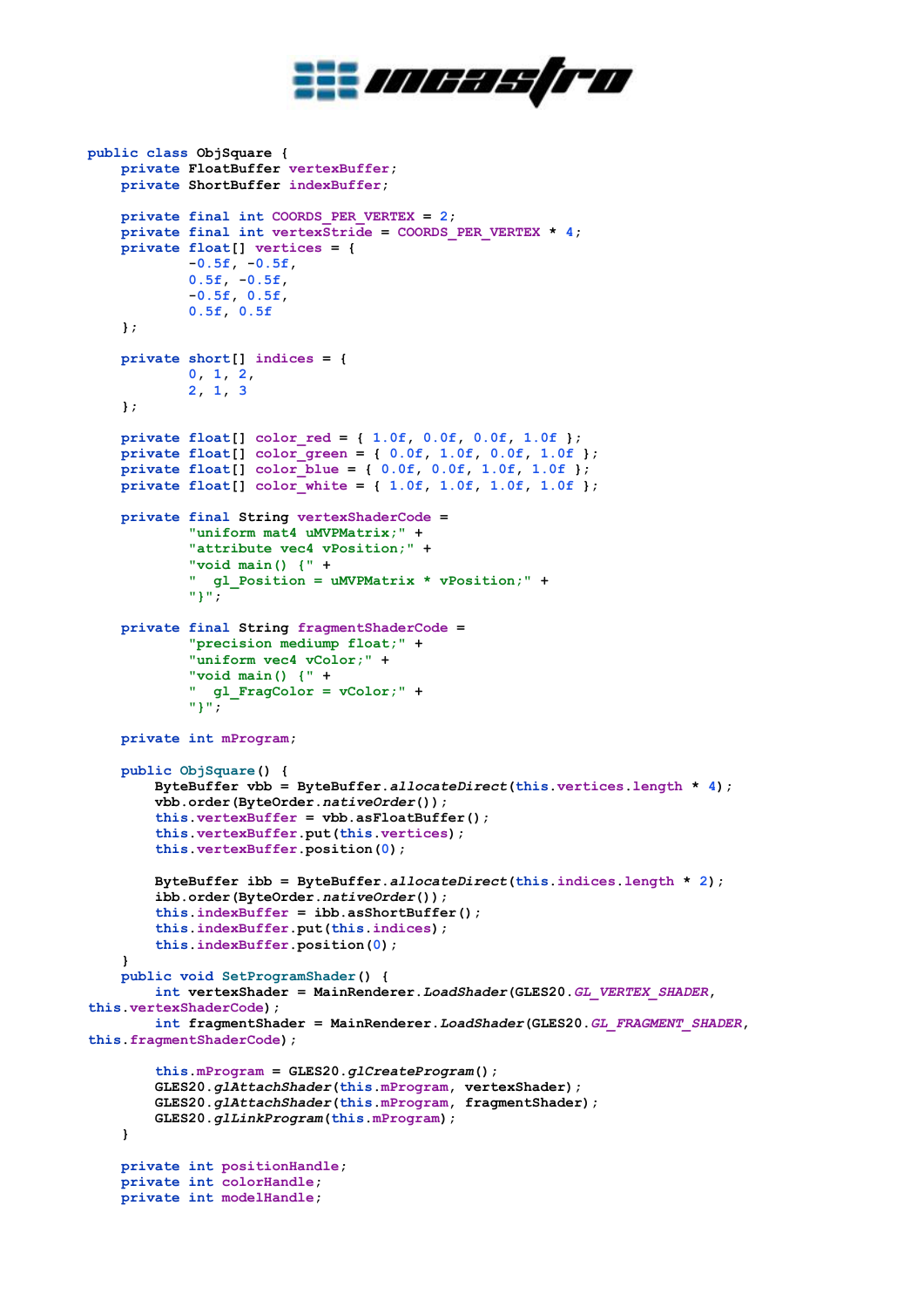

```
public class ObjSquare {
     private FloatBuffer vertexBuffer;
     private ShortBuffer indexBuffer;
     private final int COORDS_PER_VERTEX = 2;
    private final int vertexStride = COORDS PER VERTEX * 4;
     private float[] vertices = {
             -0.5f, -0.5f,
             0.5f, -0.5f,
             -0.5f, 0.5f,
             0.5f, 0.5f
     };
     private short[] indices = {
 0, 1, 2,
 2, 1, 3
     };
     private float[] color_red = { 1.0f, 0.0f, 0.0f, 1.0f };
     private float[] color_green = { 0.0f, 1.0f, 0.0f, 1.0f };
     private float[] color_blue = { 0.0f, 0.0f, 1.0f, 1.0f };
    private float[] color_white = { 1.0f, 1.0f, 1.0f, 1.0f };
     private final String vertexShaderCode =
             "uniform mat4 uMVPMatrix;" +
             "attribute vec4 vPosition;" +
             "void main() {" +
             " gl_Position = uMVPMatrix * vPosition;" +
             "}";
     private final String fragmentShaderCode =
             "precision mediump float;" +
             "uniform vec4 vColor;" +
             "void main() {" +
             " gl_FragColor = vColor;" +
             "}";
     private int mProgram;
     public ObjSquare() {
         ByteBuffer vbb = ByteBuffer.allocateDirect(this.vertices.length * 4);
         vbb.order(ByteOrder.nativeOrder());
         this.vertexBuffer = vbb.asFloatBuffer();
         this.vertexBuffer.put(this.vertices);
         this.vertexBuffer.position(0);
         ByteBuffer ibb = ByteBuffer.allocateDirect(this.indices.length * 2);
         ibb.order(ByteOrder.nativeOrder());
         this.indexBuffer = ibb.asShortBuffer();
         this.indexBuffer.put(this.indices);
         this.indexBuffer.position(0);
     }
     public void SetProgramShader() {
         int vertexShader = MainRenderer.LoadShader(GLES20.GL_VERTEX_SHADER, 
this.vertexShaderCode);
         int fragmentShader = MainRenderer.LoadShader(GLES20.GL_FRAGMENT_SHADER, 
this.fragmentShaderCode);
         this.mProgram = GLES20.glCreateProgram();
         GLES20.glAttachShader(this.mProgram, vertexShader);
         GLES20.glAttachShader(this.mProgram, fragmentShader);
         GLES20.glLinkProgram(this.mProgram);
     }
     private int positionHandle;
     private int colorHandle;
```

```
 private int modelHandle;
```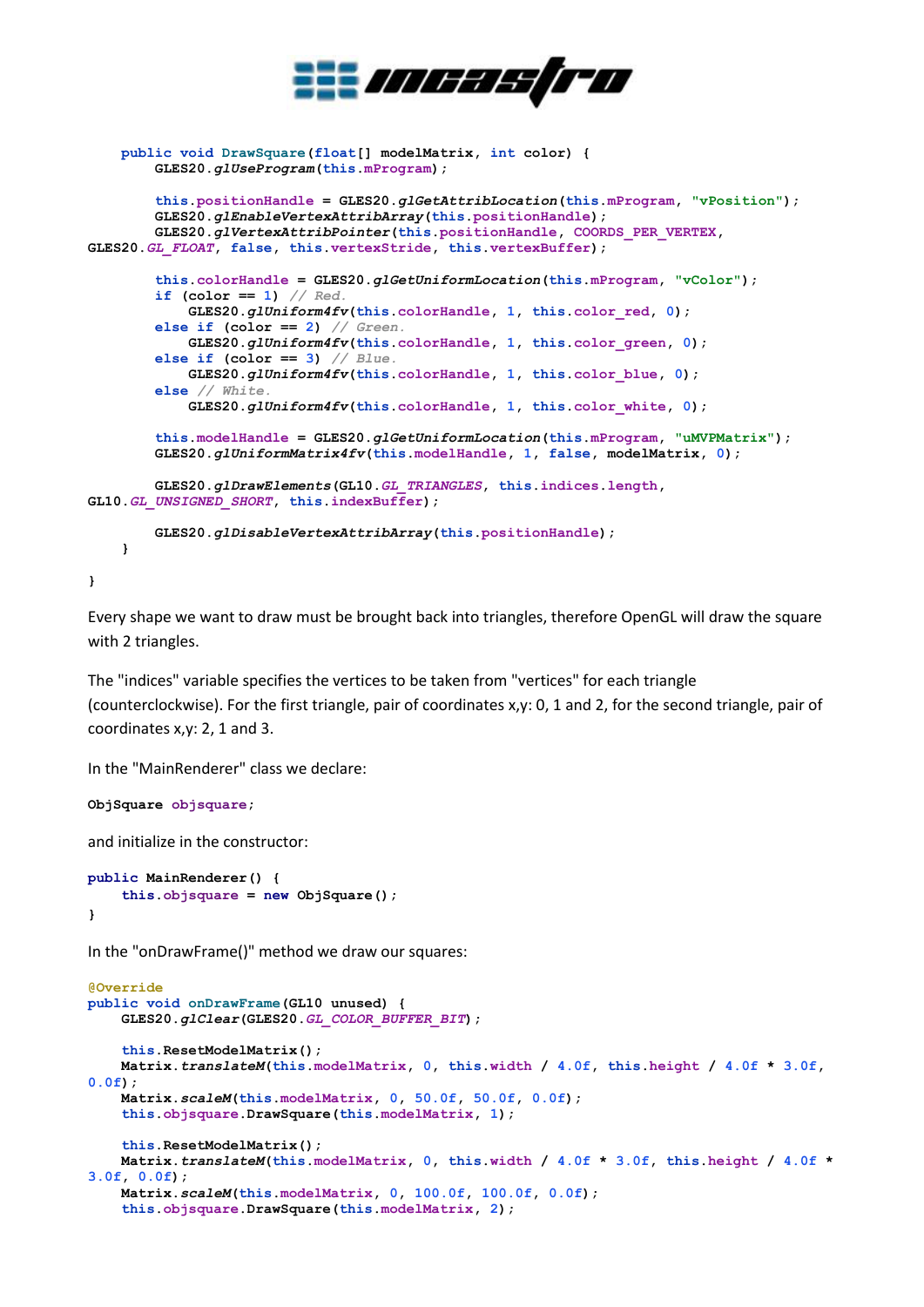

```
 public void DrawSquare(float[] modelMatrix, int color) {
         GLES20.glUseProgram(this.mProgram);
         this.positionHandle = GLES20.glGetAttribLocation(this.mProgram, "vPosition");
         GLES20.glEnableVertexAttribArray(this.positionHandle);
         GLES20.glVertexAttribPointer(this.positionHandle, COORDS_PER_VERTEX, 
GLES20.GL_FLOAT, false, this.vertexStride, this.vertexBuffer);
         this.colorHandle = GLES20.glGetUniformLocation(this.mProgram, "vColor");
         if (color == 1) // Red.
             GLES20.glUniform4fv(this.colorHandle, 1, this.color_red, 0);
         else if (color == 2) // Green.
             GLES20.glUniform4fv(this.colorHandle, 1, this.color_green, 0);
         else if (color == 3) // Blue.
             GLES20.glUniform4fv(this.colorHandle, 1, this.color_blue, 0);
         else // White.
             GLES20.glUniform4fv(this.colorHandle, 1, this.color_white, 0);
         this.modelHandle = GLES20.glGetUniformLocation(this.mProgram, "uMVPMatrix");
         GLES20.glUniformMatrix4fv(this.modelHandle, 1, false, modelMatrix, 0);
         GLES20.glDrawElements(GL10.GL_TRIANGLES, this.indices.length, 
GL10.GL_UNSIGNED_SHORT, this.indexBuffer);
         GLES20.glDisableVertexAttribArray(this.positionHandle);
     }
```
Every shape we want to draw must be brought back into triangles, therefore OpenGL will draw the square with 2 triangles.

The "indices" variable specifies the vertices to be taken from "vertices" for each triangle (counterclockwise). For the first triangle, pair of coordinates x,y: 0, 1 and 2, for the second triangle, pair of coordinates x,y: 2, 1 and 3.

In the "MainRenderer" class we declare:

```
ObjSquare objsquare;
```
**}**

and initialize in the constructor:

```
public MainRenderer() {
     this.objsquare = new ObjSquare();
}
```
In the "onDrawFrame()" method we draw our squares:

```
@Override
public void onDrawFrame(GL10 unused) {
     GLES20.glClear(GLES20.GL_COLOR_BUFFER_BIT);
     this.ResetModelMatrix();
     Matrix.translateM(this.modelMatrix, 0, this.width / 4.0f, this.height / 4.0f * 3.0f, 
0.0f);
     Matrix.scaleM(this.modelMatrix, 0, 50.0f, 50.0f, 0.0f);
     this.objsquare.DrawSquare(this.modelMatrix, 1);
     this.ResetModelMatrix();
     Matrix.translateM(this.modelMatrix, 0, this.width / 4.0f * 3.0f, this.height / 4.0f * 
3.0f, 0.0f);
     Matrix.scaleM(this.modelMatrix, 0, 100.0f, 100.0f, 0.0f);
     this.objsquare.DrawSquare(this.modelMatrix, 2);
```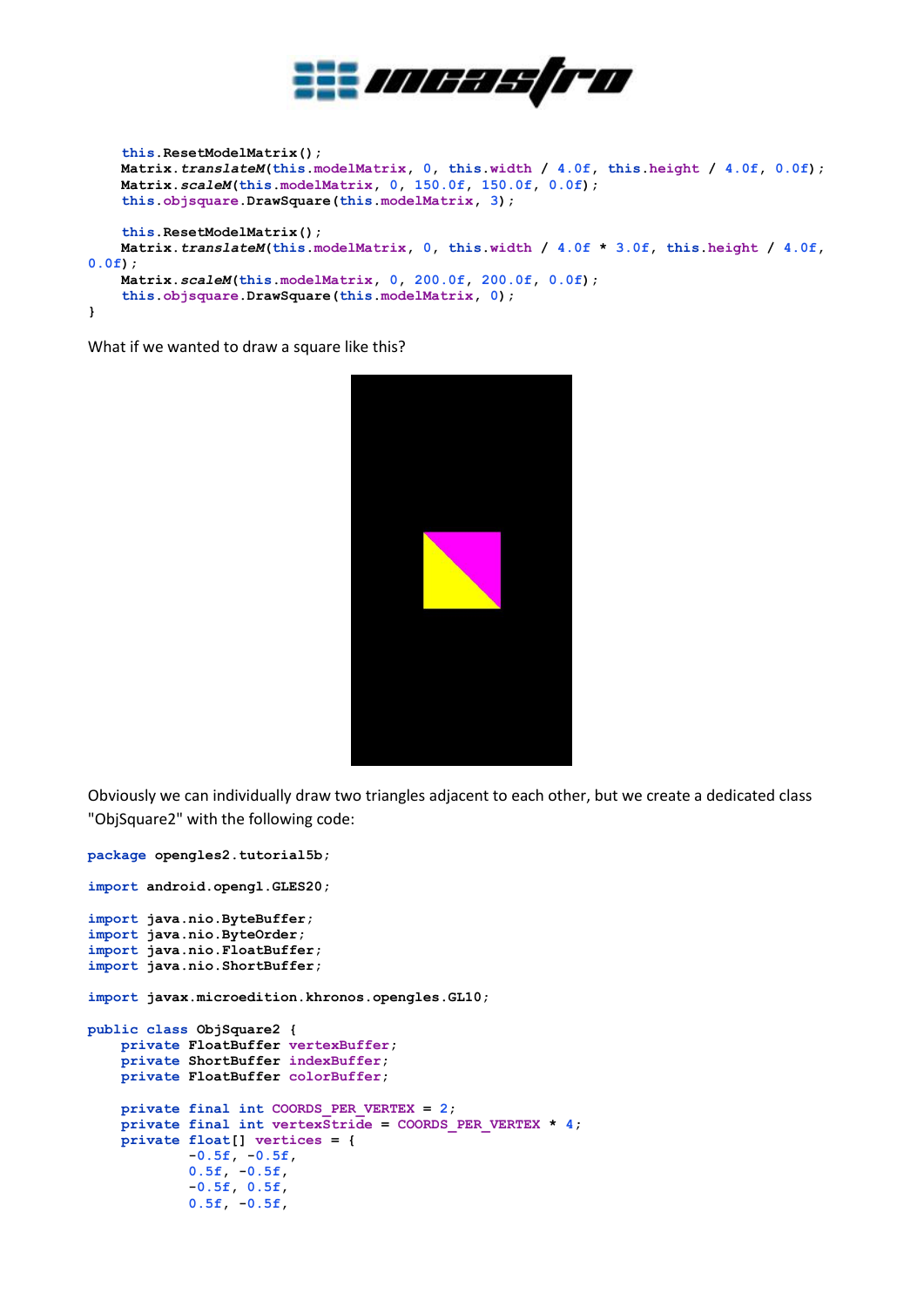

```
 this.ResetModelMatrix();
     Matrix.translateM(this.modelMatrix, 0, this.width / 4.0f, this.height / 4.0f, 0.0f);
     Matrix.scaleM(this.modelMatrix, 0, 150.0f, 150.0f, 0.0f);
     this.objsquare.DrawSquare(this.modelMatrix, 3);
     this.ResetModelMatrix();
    Matrix.translateM(this.modelMatrix, 0, this.width / 4.0f * 3.0f, this.height / 4.0f, 
0.0f);
     Matrix.scaleM(this.modelMatrix, 0, 200.0f, 200.0f, 0.0f);
     this.objsquare.DrawSquare(this.modelMatrix, 0);
}
```
What if we wanted to draw a square like this?



Obviously we can individually draw two triangles adjacent to each other, but we create a dedicated class "ObjSquare2" with the following code:

```
package opengles2.tutorial5b;
import android.opengl.GLES20;
import java.nio.ByteBuffer;
import java.nio.ByteOrder;
import java.nio.FloatBuffer;
import java.nio.ShortBuffer;
import javax.microedition.khronos.opengles.GL10;
public class ObjSquare2 {
     private FloatBuffer vertexBuffer;
     private ShortBuffer indexBuffer;
     private FloatBuffer colorBuffer;
     private final int COORDS_PER_VERTEX = 2;
     private final int vertexStride = COORDS_PER_VERTEX * 4;
     private float[] vertices = {
             -0.5f, -0.5f,
             0.5f, -0.5f,
             -0.5f, 0.5f,
             0.5f, -0.5f,
```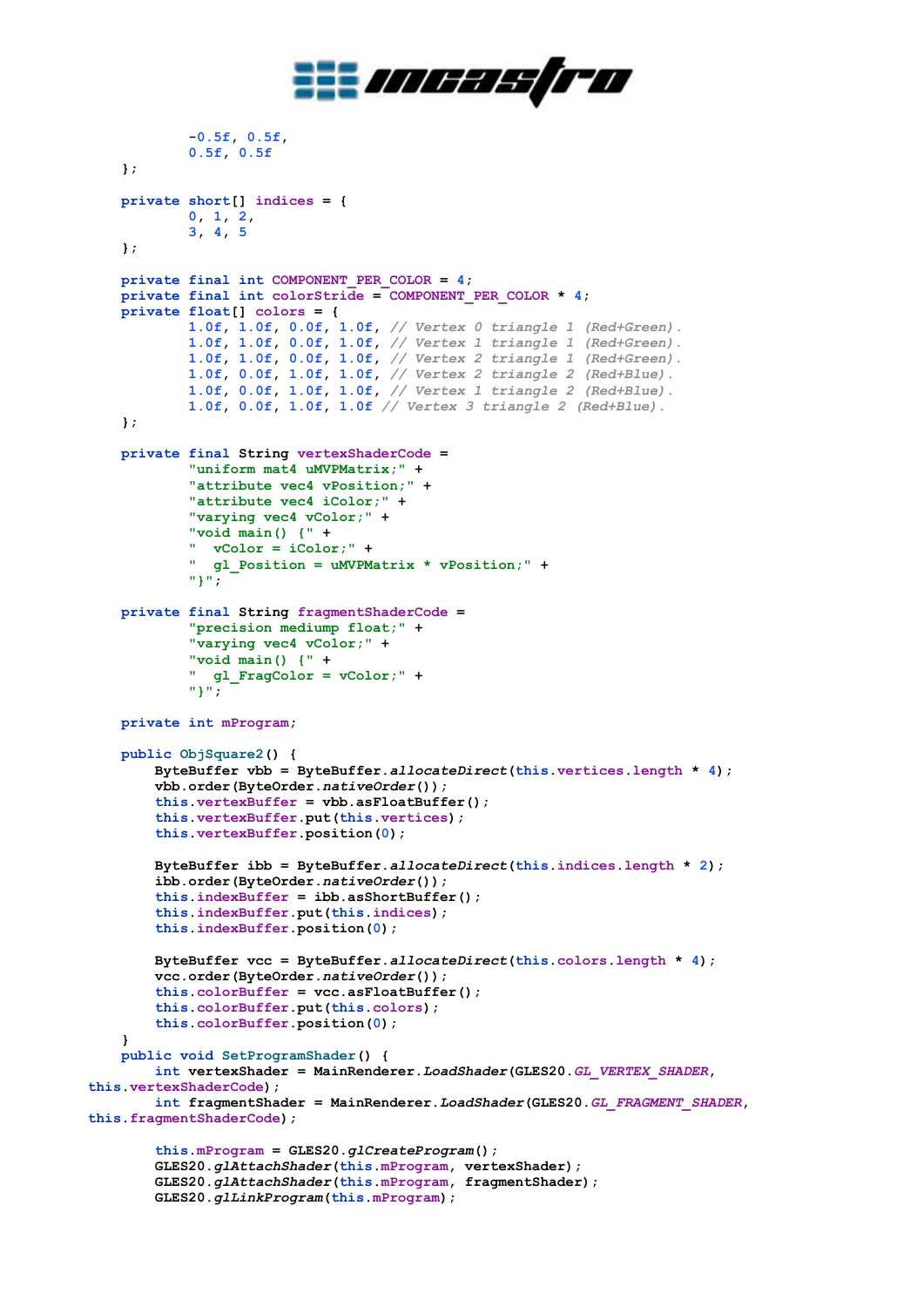

```
 -0.5f, 0.5f,
             0.5f, 0.5f
     };
    private short[] indices = {
             0, 1, 2,
             3, 4, 5
     };
    private final int COMPONENT_PER_COLOR = 4;
    private final int colorStride = COMPONENT_PER_COLOR * 4;
    private float[] colors = {
             1.0f, 1.0f, 0.0f, 1.0f, // Vertex 0 triangle 1 (Red+Green).
             1.0f, 1.0f, 0.0f, 1.0f, // Vertex 1 triangle 1 (Red+Green).
             1.0f, 1.0f, 0.0f, 1.0f, // Vertex 2 triangle 1 (Red+Green).
 1.0f, 0.0f, 1.0f, 1.0f, // Vertex 2 triangle 2 (Red+Blue).
 1.0f, 0.0f, 1.0f, 1.0f, // Vertex 1 triangle 2 (Red+Blue).
             1.0f, 0.0f, 1.0f, 1.0f // Vertex 3 triangle 2 (Red+Blue).
     };
    private final String vertexShaderCode =
             "uniform mat4 uMVPMatrix;" +
             "attribute vec4 vPosition;" +
             "attribute vec4 iColor;" +
             "varying vec4 vColor;" +
             "void main() {" +
             " vColor = iColor;" +
             " gl_Position = uMVPMatrix * vPosition;" +
             "}";
    private final String fragmentShaderCode =
             "precision mediump float;" +
             "varying vec4 vColor;" +
             "void main() {" +
             " gl_FragColor = vColor;" +
             "}";
    private int mProgram;
    public ObjSquare2() {
         ByteBuffer vbb = ByteBuffer.allocateDirect(this.vertices.length * 4);
         vbb.order(ByteOrder.nativeOrder());
         this.vertexBuffer = vbb.asFloatBuffer();
         this.vertexBuffer.put(this.vertices);
         this.vertexBuffer.position(0);
         ByteBuffer ibb = ByteBuffer.allocateDirect(this.indices.length * 2);
         ibb.order(ByteOrder.nativeOrder());
         this.indexBuffer = ibb.asShortBuffer();
         this.indexBuffer.put(this.indices);
         this.indexBuffer.position(0);
        ByteBuffer vcc = ByteBuffer.allocateDirect(this.colors.length * 4);
         vcc.order(ByteOrder.nativeOrder());
         this.colorBuffer = vcc.asFloatBuffer();
         this.colorBuffer.put(this.colors);
         this.colorBuffer.position(0);
     }
    public void SetProgramShader() {
         int vertexShader = MainRenderer.LoadShader(GLES20.GL_VERTEX_SHADER, 
this.vertexShaderCode);
         int fragmentShader = MainRenderer.LoadShader(GLES20.GL_FRAGMENT_SHADER, 
this.fragmentShaderCode);
         this.mProgram = GLES20.glCreateProgram();
         GLES20.glAttachShader(this.mProgram, vertexShader);
         GLES20.glAttachShader(this.mProgram, fragmentShader);
         GLES20.glLinkProgram(this.mProgram);
```